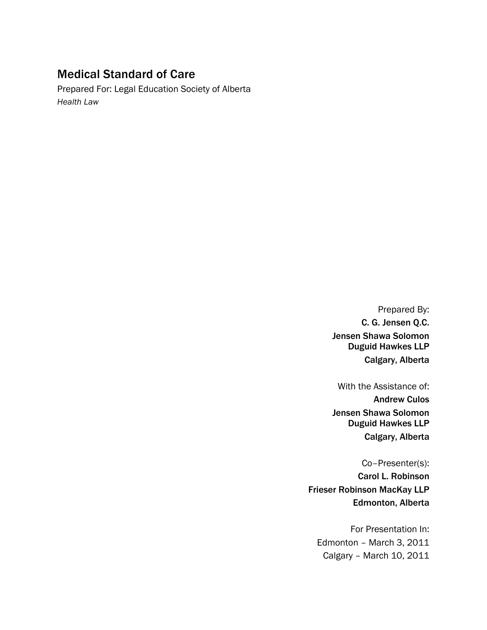## Medical Standard of Care

Prepared For: Legal Education Society of Alberta *Health Law*

> Prepared By: C. G. Jensen Q.C. Jensen Shawa Solomon Duguid Hawkes LLP Calgary, Alberta

> With the Assistance of: Andrew Culos Jensen Shawa Solomon Duguid Hawkes LLP Calgary, Alberta

Co–Presenter(s): Carol L. Robinson Frieser Robinson MacKay LLP Edmonton, Alberta

For Presentation In: Edmonton – March 3, 2011 Calgary – March 10, 2011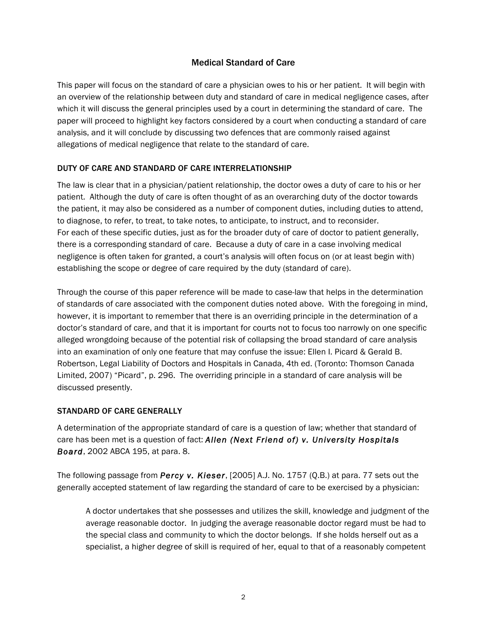## Medical Standard of Care

This paper will focus on the standard of care a physician owes to his or her patient. It will begin with an overview of the relationship between duty and standard of care in medical negligence cases, after which it will discuss the general principles used by a court in determining the standard of care. The paper will proceed to highlight key factors considered by a court when conducting a standard of care analysis, and it will conclude by discussing two defences that are commonly raised against allegations of medical negligence that relate to the standard of care.

## DUTY OF CARE AND STANDARD OF CARE INTERRELATIONSHIP

The law is clear that in a physician/patient relationship, the doctor owes a duty of care to his or her patient. Although the duty of care is often thought of as an overarching duty of the doctor towards the patient, it may also be considered as a number of component duties, including duties to attend, to diagnose, to refer, to treat, to take notes, to anticipate, to instruct, and to reconsider. For each of these specific duties, just as for the broader duty of care of doctor to patient generally, there is a corresponding standard of care. Because a duty of care in a case involving medical negligence is often taken for granted, a court's analysis will often focus on (or at least begin with) establishing the scope or degree of care required by the duty (standard of care).

Through the course of this paper reference will be made to case-law that helps in the determination of standards of care associated with the component duties noted above. With the foregoing in mind, however, it is important to remember that there is an overriding principle in the determination of a doctor's standard of care, and that it is important for courts not to focus too narrowly on one specific alleged wrongdoing because of the potential risk of collapsing the broad standard of care analysis into an examination of only one feature that may confuse the issue: Ellen I. Picard & Gerald B. Robertson, Legal Liability of Doctors and Hospitals in Canada, 4th ed. (Toronto: Thomson Canada Limited, 2007) "Picard", p. 296. The overriding principle in a standard of care analysis will be discussed presently.

## STANDARD OF CARE GENERALLY

A determination of the appropriate standard of care is a question of law; whether that standard of care has been met is a question of fact: *Allen (Next Friend of) v. University Hospitals Board*, 2002 ABCA 195, at para. 8.

The following passage from *Percy v. Kieser*, [2005] A.J. No. 1757 (Q.B.) at para. 77 sets out the generally accepted statement of law regarding the standard of care to be exercised by a physician:

A doctor undertakes that she possesses and utilizes the skill, knowledge and judgment of the average reasonable doctor. In judging the average reasonable doctor regard must be had to the special class and community to which the doctor belongs. If she holds herself out as a specialist, a higher degree of skill is required of her, equal to that of a reasonably competent